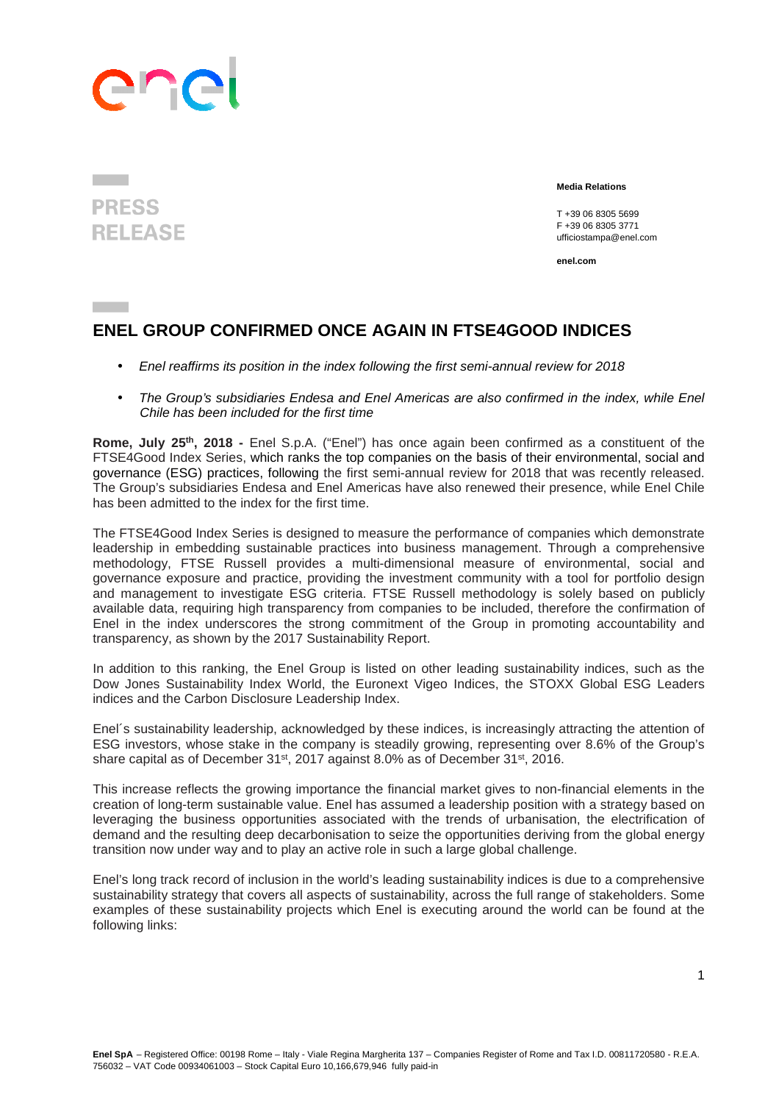## ene

## **PRESS RELEASE**

 **Media Relations** 

T +39 06 8305 5699 F +39 06 8305 3771 ufficiostampa@enel.com

**enel.com**

## **ENEL GROUP CONFIRMED ONCE AGAIN IN FTSE4GOOD INDICES**

- Enel reaffirms its position in the index following the first semi-annual review for 2018
- The Group's subsidiaries Endesa and Enel Americas are also confirmed in the index, while Enel Chile has been included for the first time

**Rome, July 25th, 2018 -** Enel S.p.A. ("Enel") has once again been confirmed as a constituent of the FTSE4Good Index Series, which ranks the top companies on the basis of their environmental, social and governance (ESG) practices, following the first semi-annual review for 2018 that was recently released. The Group's subsidiaries Endesa and Enel Americas have also renewed their presence, while Enel Chile has been admitted to the index for the first time.

The FTSE4Good Index Series is designed to measure the performance of companies which demonstrate leadership in embedding sustainable practices into business management. Through a comprehensive methodology, FTSE Russell provides a multi-dimensional measure of environmental, social and governance exposure and practice, providing the investment community with a tool for portfolio design and management to investigate ESG criteria. FTSE Russell methodology is solely based on publicly available data, requiring high transparency from companies to be included, therefore the confirmation of Enel in the index underscores the strong commitment of the Group in promoting accountability and transparency, as shown by the 2017 Sustainability Report.

In addition to this ranking, the Enel Group is listed on other leading sustainability indices, such as the Dow Jones Sustainability Index World, the Euronext Vigeo Indices, the STOXX Global ESG Leaders indices and the Carbon Disclosure Leadership Index.

Enel´s sustainability leadership, acknowledged by these indices, is increasingly attracting the attention of ESG investors, whose stake in the company is steadily growing, representing over 8.6% of the Group's share capital as of December 31st, 2017 against 8.0% as of December 31st, 2016.

This increase reflects the growing importance the financial market gives to non-financial elements in the creation of long-term sustainable value. Enel has assumed a leadership position with a strategy based on leveraging the business opportunities associated with the trends of urbanisation, the electrification of demand and the resulting deep decarbonisation to seize the opportunities deriving from the global energy transition now under way and to play an active role in such a large global challenge.

Enel's long track record of inclusion in the world's leading sustainability indices is due to a comprehensive sustainability strategy that covers all aspects of sustainability, across the full range of stakeholders. Some examples of these sustainability projects which Enel is executing around the world can be found at the following links: